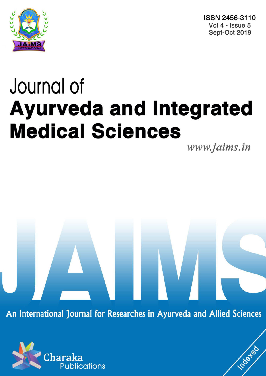

ISSN 2456-3110 Vol  $4 \cdot$  Issue 5 Sept-Oct 2019

# Journal of **Ayurveda and Integrated Medical Sciences**

www.jaims.in

Inderfed

An International Journal for Researches in Ayurveda and Allied Sciences

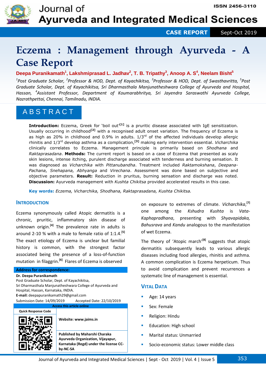

**CASE REPORT** Sept-Oct 2019

## **Eczema : Management through Ayurveda - A Case Report**

#### **Deepa Puranikamath<sup>1</sup> , Lakshmiprasad L. Jadhav<sup>2</sup> , T. B. Tripathy<sup>3</sup> , Anoop A. S<sup>4</sup> , Neelam Bisht<sup>5</sup>**

*1 Post Graduate Scholar, <sup>2</sup> Professor & HOD, Dept. of Kayachikitsa, <sup>3</sup> Professor & HOD, Dept. of Swasthavritta, <sup>5</sup> Post Graduate Scholar, Dept. of Kayachikitsa, Sri Dharmasthala Manjunatheshwara College of Ayurveda and Hospital, Hassan, <sup>4</sup> Assistant Professor, Department of Koumarabhritya, Sri Jayendra Saraswathi Ayurveda College, Nazrathpettai, Chennai, Tamilnadu, INDIA.*

## A B S T R A C T

**Introduction:** Eczema, Greek for 'boil out'**[1]** is a pruritic disease associated with IgE sensitization. Usually occurring in childhood**[2]** with a recognised adult onset variation. The frequency of Eczema is as high as 20% in childhood and 0.9% in adults.  $1/3<sup>rd</sup>$  of the affected individuals develop allergic rhinitis and 1/3rd develop asthma as a complication,**[3]** making early intervention essential. *Vicharchika* clinically correlates to Eczema. Management principle is primarily based on *Shodhana* and *Raktaprasadana*. **Methods:** The current report is based on a case of Eczema that presented as scaly skin lesions, intense itching, purulent discharge associated with tenderness and burning sensation. It was diagnosed as *Vicharchika* with *Pittanubandha*. Treatment included *Raktamokshana*, *Deepana-Pachana, Snehapana, Abhyanga* and *Virechana*. Assessment was done based on subjective and objective parameters. **Result:** Reduction in pruritus, burning sensation and discharge was noted. **Discussion:** Ayurveda management with *Kushta Chikitsa* provided accelerated results in this case.

**Key words:** *Eczema, Vicharchika, Shodhana, Raktaprasadana, Kushta Chikitsa.*

#### **INTRODUCTION**

Eczema synonymously called Atopic dermatitis is a chronic, pruritic, inflammatory skin disease of unknown origin.**[4]** The prevalence rate in adults is around 2-10 % with a male to female ratio of 1:1.4.**[5]** The exact etiology of Eczema is unclear but familial history is common, with the strongest factor associated being the presence of a loss-of-function mutation in filaggrin.**[6]** Flares of Eczema is observed

#### **Address for correspondence:**

**Dr. Deepa Puranikamath** 

Post Graduate Scholar, Dept. of Kayachikitsa, Sri Dharmasthala Manjunatheshwara College of Ayurveda and Hospital, Hassan, Karnataka, INDIA. **E-mail:** deepapuranikamath29@gmail.com Submission Date: 14/09/2019 Accepted Date: 22/10/2019 **Access this article online**



| Website: www.jaims.in         |
|-------------------------------|
| Published by Maharshi Charaka |

**Ayurveda Organization, Vijayapur, Karnataka (Regd) under the license CCby-NC-SA** 

on exposure to extremes of climate. *Vicharchika*, **[7]** one among the *Kshudra Kushta* is *Vata*-*Kaphapradhana*, presenting with *Shyavapidaka, Bahusrava* and *Kandu* analogous to the manifestation of wet Eczema.

The theory of 'Atopic march'**[8]** suggests that atopic dermatitis subsequently leads to various allergic diseases including food allergies, rhinitis and asthma. A common complication is Eczema herpeticum. Thus to avoid complication and prevent recurrences a systematic line of management is essential.

#### **VITAL DATA**

- Age: 14 years
- Sex: Female
- Religion: Hindu
- Education: High school
- Marital status: Unmarried
- Socio-economic status: Lower middle class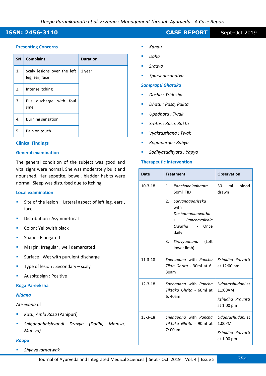#### **ISSN: 2456-3110 CASE REPORT** Sept-Oct 2019

#### **Presenting Concerns**

| <b>SN</b> | <b>Complains</b>                              | <b>Duration</b> |
|-----------|-----------------------------------------------|-----------------|
| 1.        | Scaly lesions over the left<br>leg, ear, face | 1 year          |
| 2.        | Intense itching                               |                 |
| 3.        | Pus discharge with<br>foul<br>smell           |                 |
| 4.        | Burning sensation                             |                 |
| 5.        | Pain on touch                                 |                 |

#### **Clinical Findings**

#### **General examination**

The general condition of the subject was good and vital signs were normal. She was moderately built and nourished. Her appetite, bowel, bladder habits were normal. Sleep was disturbed due to itching.

#### **Local examination**

- Site of the lesion : Lateral aspect of left leg, ears , face
- Distribution : Asymmetrical
- Color : Yellowish black
- Shape : Elongated
- Margin: Irregular , well demarcated
- Surface : Wet with purulent discharge
- Type of lesion : Secondary scaly
- Auspitz sign : Positive

#### **Roga Pareeksha**

#### *Nidana*

#### *Atisevana* of

- *Katu, Amla Rasa* (Panipuri)
- *Snigdhaabhishyandi Dravya (Dadhi, Mamsa, Matsya)*

#### *Roopa*

*Shyavavarnatwak* 

- *Kandu*
- *Daha*
- *Sraava*
- *Sparshaasahatva*

#### *Samprapti Ghataka*

- *Dosha : Tridosha*
- *Dhatu : Rasa, Rakta*
- *Upadhatu : Twak*
- *Srotas : Rasa, Rakta*
- *Vyaktasthana : Twak*
- *Rogamarga : Bahya*
- *Sadhyasadhyata : Yapya*

#### **Therapeutic Intervention**

| <b>Date</b>   | <b>Treatment</b>                                                                                           | <b>Observation</b>               |  |  |  |
|---------------|------------------------------------------------------------------------------------------------------------|----------------------------------|--|--|--|
| $10-3-18$     | 1.<br>Panchakolaphanta<br>50ml TID                                                                         | 30 ml<br>blood<br>drawn          |  |  |  |
|               | Sarvangapariseka<br>2.<br>with<br>Dashamoolaqwatha<br>Panchavalkala<br>$^{+}$<br>Owatha -<br>Once<br>daily |                                  |  |  |  |
|               | Siravyadhana<br>3.<br>(Left<br>lower limb)                                                                 |                                  |  |  |  |
| $11 - 3 - 18$ | Snehapana with Pancha<br>Tikta Ghrita - 30ml at 6:<br>30am                                                 | Kshudha Pravritti<br>at 12:00 pm |  |  |  |
| $12 - 3 - 18$ | Snehapana with Pancha<br>Tiktaka Ghrita - 60ml at                                                          | Udgarashuddhi at<br>11:00AM      |  |  |  |
|               | 6:40am                                                                                                     | Kshudha Pravritti<br>at 1:00 pm  |  |  |  |
| $13 - 3 - 18$ | Snehapana with Pancha<br>Tiktaka Ghrita - 90ml at                                                          | Udgarashuddhi at<br>1:00PM       |  |  |  |
|               | 7:00am                                                                                                     | Kshudha Pravritti<br>at 1:00 pm  |  |  |  |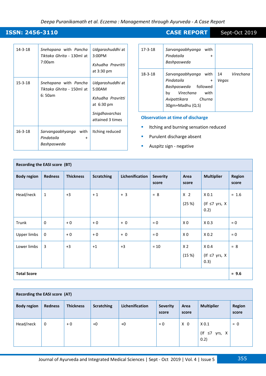#### *Deepa Puranikamath et al. Eczema : Management through Ayurveda - A Case Report*

| $14 - 3 - 18$ | Snehapana with Pancha<br><i>Tiktaka Ghrita -</i> 130ml at<br>7:00am | Udgarashuddhi at<br>3:00PM<br>Kshudha Pravritti<br>at $3:30 \text{ pm}$                                       |
|---------------|---------------------------------------------------------------------|---------------------------------------------------------------------------------------------------------------|
| $15 - 3 - 18$ | Snehapana with Pancha<br>Tiktaka Ghrita - 150ml at<br>6:50am        | Udgarashuddhi at<br>5:00AM<br>Kshudha Pravritti<br>at $6:30 \text{ pm}$<br>Snigdhavarchas<br>attained 3 times |
| $16 - 3 - 18$ | with<br>Sarvangaabhyanga<br>Pindataila<br>$\ddot{}$<br>Bashpasweda  | Itching reduced                                                                                               |

| $17 - 3 - 18$ | Sarvangaabhyanga with<br>Pindataila<br>$\ddot{}$<br>Bashpasweda                                                                                    |                          |
|---------------|----------------------------------------------------------------------------------------------------------------------------------------------------|--------------------------|
| $18 - 3 - 18$ | Sarvangaabhyanga with<br>Pindataila<br>$\ddot{}$<br>Bashpasweda followed<br><i>Virechana</i> with<br>bv<br>Avipattikara Churna<br>30gm+Madhu (Q.S) | Virechana<br>14<br>Vegas |

**Observation at time of discharge** 

- **In Itching and burning sensation reduced**
- **Purulent discharge absent**
- **Auspitz sign negative**

| Recording the EASI score (BT) |                |                  |                   |                 |                          |                         |                                                 |                        |  |
|-------------------------------|----------------|------------------|-------------------|-----------------|--------------------------|-------------------------|-------------------------------------------------|------------------------|--|
| <b>Body region</b>            | <b>Redness</b> | <b>Thickness</b> | <b>Scratching</b> | Lichenification | <b>Severity</b><br>score | Area<br>score           | <b>Multiplier</b>                               | <b>Region</b><br>score |  |
| Head/neck                     | $\mathbf{1}$   | $+3$             | $+1$              | $+3$            | $= 8$                    | X <sub>2</sub><br>(25%) | X <sub>0.1</sub><br>(If $\leq$ 7 yrs, X<br>0.2) | $= 1.6$                |  |
| Trunk                         | $\mathbf 0$    | $+0$             | $+0$              | $+0$            | $= 0$                    | X <sub>0</sub>          | X <sub>0.3</sub>                                | $= 0$                  |  |
| <b>Upper limbs</b>            | $\mathbf 0$    | $+0$             | $+0$              | $+0$            | $= 0$                    | X <sub>0</sub>          | X <sub>0.2</sub>                                | $= 0$                  |  |
| Lower limbs                   | 3              | $+3$             | $+1$              | $+3$            | $= 10$                   | X <sub>2</sub><br>(15%) | X <sub>0.4</sub><br>(If $\leq$ 7 yrs, X<br>0.3) | $= 8$                  |  |
| <b>Total Score</b>            |                |                  |                   |                 |                          |                         |                                                 | $= 9.6$                |  |

| Recording the EASI score (AT) |                |                  |                   |                        |                          |                |                                                       |                 |  |  |
|-------------------------------|----------------|------------------|-------------------|------------------------|--------------------------|----------------|-------------------------------------------------------|-----------------|--|--|
| <b>Body region</b>            | <b>Redness</b> | <b>Thickness</b> | <b>Scratching</b> | <b>Lichenification</b> | <b>Severity</b><br>score | Area<br>score  | <b>Multiplier</b>                                     | Region<br>score |  |  |
| Head/neck                     | 0              | $+0$             | $+0$              | $+0$                   | $= 0$                    | X <sub>0</sub> | X <sub>0.1</sub><br>(If<br>$\leq 7$<br>yrs, X<br>0.2) | $= 0$           |  |  |

**ISSN: 2456-3110** CASE REPORT Sept-Oct 2019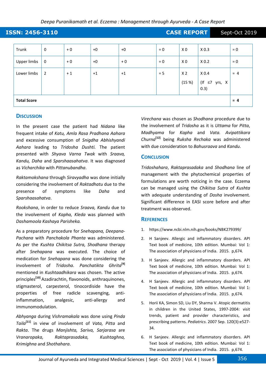#### *Deepa Puranikamath et al. Eczema : Management through Ayurveda - A Case Report*

| ISSN: 2456-3110<br><b>CASE REPORT</b> |                |      |      |      |       |                         |                                                 | Sept-Oct 2019 |
|---------------------------------------|----------------|------|------|------|-------|-------------------------|-------------------------------------------------|---------------|
| Trunk                                 | $\mathbf 0$    | $+0$ | $+0$ | $+0$ | $= 0$ | X <sub>0</sub>          | X <sub>0.3</sub>                                | $= 0$         |
| <b>Upper limbs</b>                    | $\mathbf 0$    | $+0$ | $+0$ | $+0$ | $= 0$ | X <sub>0</sub>          | X <sub>0.2</sub>                                | $= 0$         |
| Lower limbs                           | $\overline{2}$ | $+1$ | $+1$ | $+1$ | $= 5$ | X <sub>2</sub><br>(15%) | X <sub>0.4</sub><br>(If $\leq$ 7 yrs, X<br>0.3) | $= 4$         |
| <b>Total Score</b>                    |                |      |      |      |       |                         |                                                 | $= 4$         |

#### **DISCUSSION**

In the present case the patient had *Nidana* like frequent intake of *Katu, Amla Rasa Pradhana Aahara* and excessive consumption of *Snigdha Abhishyandi Aahara* leading to *Tridosha Dushti.* The patient presented with *Shyava Varna Twak* with *Sraava, Kandu, Daha* and *Sparshaasahatva*. It was diagnosed as *Vicharchika* with *Pittanubandha*.

*Raktamokshana* through *Siravyadha* was done initially considering the involvement of *Raktadhatu* due to the presence of symptoms like *Daha* and *Sparshaasahatva*.

*Rookshana*, in order to reduce *Sraava, Kandu* due to the involvement of *Kapha, Kleda* was planned with *Dashamoola Kashaya Parisheka.*

As a preparatory procedure for *Snehapana, Deepana-Pachana* with *Panchakola Phanta* was administered. As per the *Kushta Chikitsa Sutra, Shodhana* therapy after *Snehapana* was executed. The choice of medication for *Snehapana* was done considering the involvement of *Tridosha*. *Panchatikta Ghrita***[9]** mentioned in *Kushtaadhikara* was chosen. The active principles**[10]** Azadirachtin, flavonoids, anthraquinones, stigmasterol, carpesterol, tinocordiside have the properties of free radicle scavenging, antiinflammation, analgesic, anti-allergy and immunomodulation.

*Abhyanga* during *Vishramakala* was done using *Pinda Taila***[11]** in view of involvement of *Vata, Pitta* and *Rakta*. The drugs *Manjishta, Sariva, Sarjarasa* are *Vranaropaka, Raktaprasadaka, Kushtaghna, Krimighna* and *Shothahara*.

*Virechana* was chosen as *Shodhana* procedure due to the involvement of *Tridosha* as it is *Uttama* for *Pitta*, *Madhyama* for *Kapha* and *Vata. Avipattikara Churna***[12]** being *Ruksha Rechaka* was administered with due consideration to *Bahusraava* and *Kandu*.

#### **CONCLUSION**

*Tridoshahara*, *Raktaprasadaka* and *Shodhana* line of management with the phytochemical properties of formulations are worth noticing in the case. Eczema can be managed using the *Chikitsa Sutra* of *Kushta* with adequate understanding of *Dosha* involvement. Significant difference in EASI score before and after treatment was observed.

#### **REFERENCES**

- 1. https://www.ncbi.nlm.nih.gov/books/NBK279399/
- 2. H Sanjeev. Allergic and inflammatory disorders. API Text book of medicine, 10th edition. Mumbai: Vol 1: The association of physicians of India. 2015. p,674.
- 3. H Sanjeev. Allergic and inflammatory disorders. API Text book of medicine, 10th edition. Mumbai: Vol 1: The association of physicians of India. 2015. p,674.
- 4. H Sanjeev. Allergic and inflammatory disorders. API Text book of medicine, 10th edition. Mumbai: Vol 1: The association of physicians of India. 2015. p,674.
- 5. Horii KA, Simon SD, Liu DY, Sharma V. Atopic dermatitis in children in the United States, 1997-2004: visit trends, patient and provider characteristics, and prescribing patterns. *Pediatrics*. 2007 Sep. 120(3):e527- 34.
- 6. H Sanjeev. Allergic and inflammatory disorders. API Text book of medicine, 10th edition. Mumbai: Vol 1: The association of physicians of India. 2015. p,674.